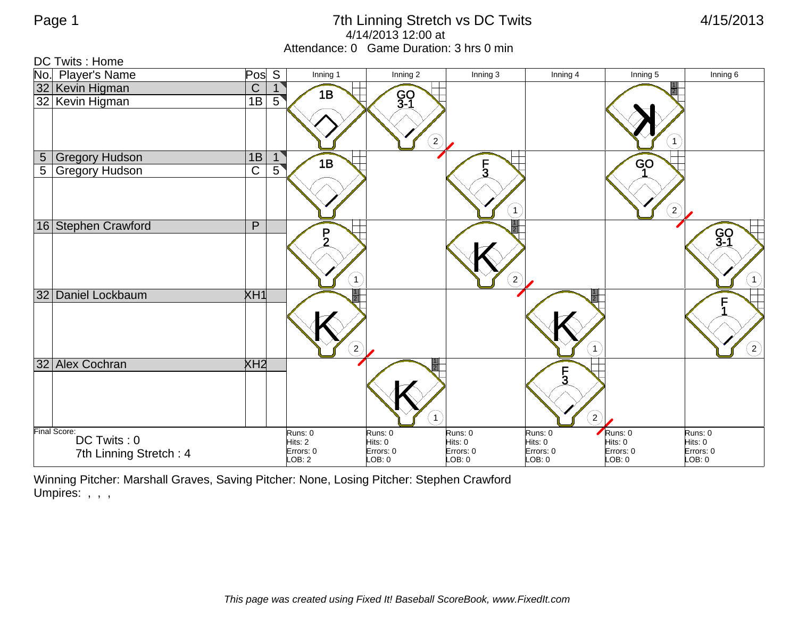## Page 1 **2008** 2013 The Linning Stretch vs DC Twits **1/15/2013** 4/14/2013 12:00 at Attendance: 0 Game Duration: 3 hrs 0 min



Winning Pitcher: Marshall Graves, Saving Pitcher: None, Losing Pitcher: Stephen Crawford Umpires: , , ,